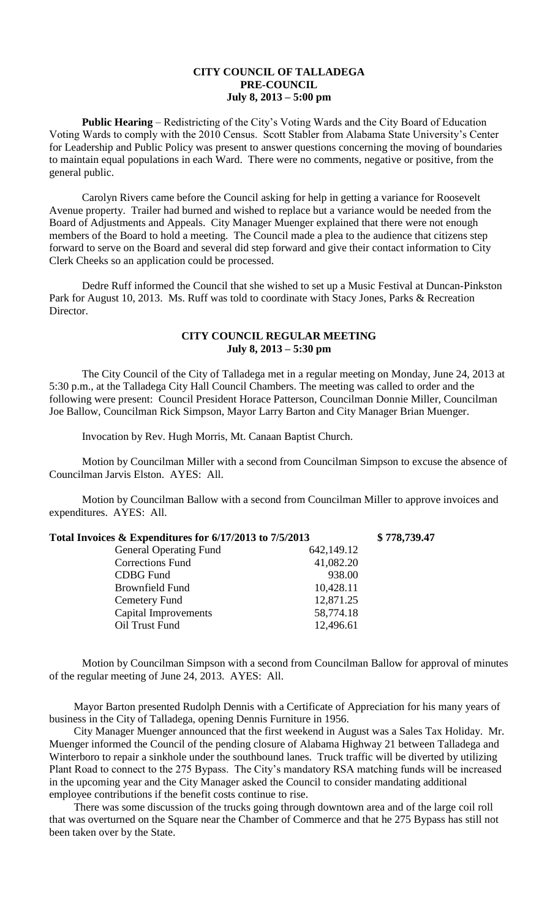## **CITY COUNCIL OF TALLADEGA PRE-COUNCIL July 8, 2013 – 5:00 pm**

**Public Hearing** – Redistricting of the City's Voting Wards and the City Board of Education Voting Wards to comply with the 2010 Census. Scott Stabler from Alabama State University's Center for Leadership and Public Policy was present to answer questions concerning the moving of boundaries to maintain equal populations in each Ward. There were no comments, negative or positive, from the general public.

Carolyn Rivers came before the Council asking for help in getting a variance for Roosevelt Avenue property. Trailer had burned and wished to replace but a variance would be needed from the Board of Adjustments and Appeals. City Manager Muenger explained that there were not enough members of the Board to hold a meeting. The Council made a plea to the audience that citizens step forward to serve on the Board and several did step forward and give their contact information to City Clerk Cheeks so an application could be processed.

Dedre Ruff informed the Council that she wished to set up a Music Festival at Duncan-Pinkston Park for August 10, 2013. Ms. Ruff was told to coordinate with Stacy Jones, Parks & Recreation Director.

## **CITY COUNCIL REGULAR MEETING July 8, 2013 – 5:30 pm**

The City Council of the City of Talladega met in a regular meeting on Monday, June 24, 2013 at 5:30 p.m., at the Talladega City Hall Council Chambers. The meeting was called to order and the following were present: Council President Horace Patterson, Councilman Donnie Miller, Councilman Joe Ballow, Councilman Rick Simpson, Mayor Larry Barton and City Manager Brian Muenger.

Invocation by Rev. Hugh Morris, Mt. Canaan Baptist Church.

Motion by Councilman Miller with a second from Councilman Simpson to excuse the absence of Councilman Jarvis Elston. AYES: All.

Motion by Councilman Ballow with a second from Councilman Miller to approve invoices and expenditures. AYES: All.

| Total Invoices & Expenditures for 6/17/2013 to 7/5/2013 |            | \$778,739.47 |
|---------------------------------------------------------|------------|--------------|
| <b>General Operating Fund</b>                           | 642,149.12 |              |
| <b>Corrections Fund</b>                                 | 41,082.20  |              |
| <b>CDBG</b> Fund                                        | 938.00     |              |
| <b>Brownfield Fund</b>                                  | 10,428.11  |              |
| Cemetery Fund                                           | 12,871.25  |              |
| <b>Capital Improvements</b>                             | 58,774.18  |              |
| Oil Trust Fund                                          | 12,496.61  |              |

Motion by Councilman Simpson with a second from Councilman Ballow for approval of minutes of the regular meeting of June 24, 2013. AYES: All.

Mayor Barton presented Rudolph Dennis with a Certificate of Appreciation for his many years of business in the City of Talladega, opening Dennis Furniture in 1956.

City Manager Muenger announced that the first weekend in August was a Sales Tax Holiday. Mr. Muenger informed the Council of the pending closure of Alabama Highway 21 between Talladega and Winterboro to repair a sinkhole under the southbound lanes. Truck traffic will be diverted by utilizing Plant Road to connect to the 275 Bypass. The City's mandatory RSA matching funds will be increased in the upcoming year and the City Manager asked the Council to consider mandating additional employee contributions if the benefit costs continue to rise.

There was some discussion of the trucks going through downtown area and of the large coil roll that was overturned on the Square near the Chamber of Commerce and that he 275 Bypass has still not been taken over by the State.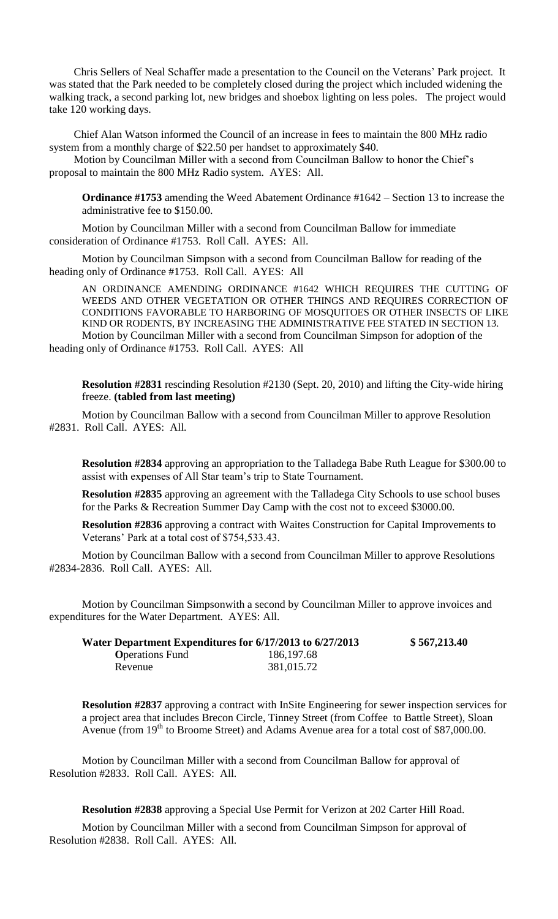Chris Sellers of Neal Schaffer made a presentation to the Council on the Veterans' Park project. It was stated that the Park needed to be completely closed during the project which included widening the walking track, a second parking lot, new bridges and shoebox lighting on less poles. The project would take 120 working days.

Chief Alan Watson informed the Council of an increase in fees to maintain the 800 MHz radio system from a monthly charge of \$22.50 per handset to approximately \$40.

Motion by Councilman Miller with a second from Councilman Ballow to honor the Chief's proposal to maintain the 800 MHz Radio system. AYES: All.

**Ordinance #1753** amending the Weed Abatement Ordinance #1642 – Section 13 to increase the administrative fee to \$150.00.

Motion by Councilman Miller with a second from Councilman Ballow for immediate consideration of Ordinance #1753. Roll Call. AYES: All.

Motion by Councilman Simpson with a second from Councilman Ballow for reading of the heading only of Ordinance #1753. Roll Call. AYES: All

AN ORDINANCE AMENDING ORDINANCE #1642 WHICH REQUIRES THE CUTTING OF WEEDS AND OTHER VEGETATION OR OTHER THINGS AND REQUIRES CORRECTION OF CONDITIONS FAVORABLE TO HARBORING OF MOSQUITOES OR OTHER INSECTS OF LIKE KIND OR RODENTS, BY INCREASING THE ADMINISTRATIVE FEE STATED IN SECTION 13. Motion by Councilman Miller with a second from Councilman Simpson for adoption of the heading only of Ordinance #1753. Roll Call. AYES: All

**Resolution #2831** rescinding Resolution #2130 (Sept. 20, 2010) and lifting the City-wide hiring freeze. **(tabled from last meeting)**

Motion by Councilman Ballow with a second from Councilman Miller to approve Resolution #2831. Roll Call. AYES: All.

**Resolution #2834** approving an appropriation to the Talladega Babe Ruth League for \$300.00 to assist with expenses of All Star team's trip to State Tournament.

**Resolution #2835** approving an agreement with the Talladega City Schools to use school buses for the Parks & Recreation Summer Day Camp with the cost not to exceed \$3000.00.

**Resolution #2836** approving a contract with Waites Construction for Capital Improvements to Veterans' Park at a total cost of \$754,533.43.

Motion by Councilman Ballow with a second from Councilman Miller to approve Resolutions #2834-2836. Roll Call. AYES: All.

Motion by Councilman Simpsonwith a second by Councilman Miller to approve invoices and expenditures for the Water Department. AYES: All.

| Water Department Expenditures for 6/17/2013 to 6/27/2013 |              | \$567,213.40 |
|----------------------------------------------------------|--------------|--------------|
| <b>O</b> perations Fund                                  | 186, 197. 68 |              |
| Revenue                                                  | 381,015.72   |              |

**Resolution #2837** approving a contract with InSite Engineering for sewer inspection services for a project area that includes Brecon Circle, Tinney Street (from Coffee to Battle Street), Sloan Avenue (from 19<sup>th</sup> to Broome Street) and Adams Avenue area for a total cost of \$87,000.00.

Motion by Councilman Miller with a second from Councilman Ballow for approval of Resolution #2833. Roll Call. AYES: All.

**Resolution #2838** approving a Special Use Permit for Verizon at 202 Carter Hill Road.

Motion by Councilman Miller with a second from Councilman Simpson for approval of Resolution #2838. Roll Call. AYES: All.